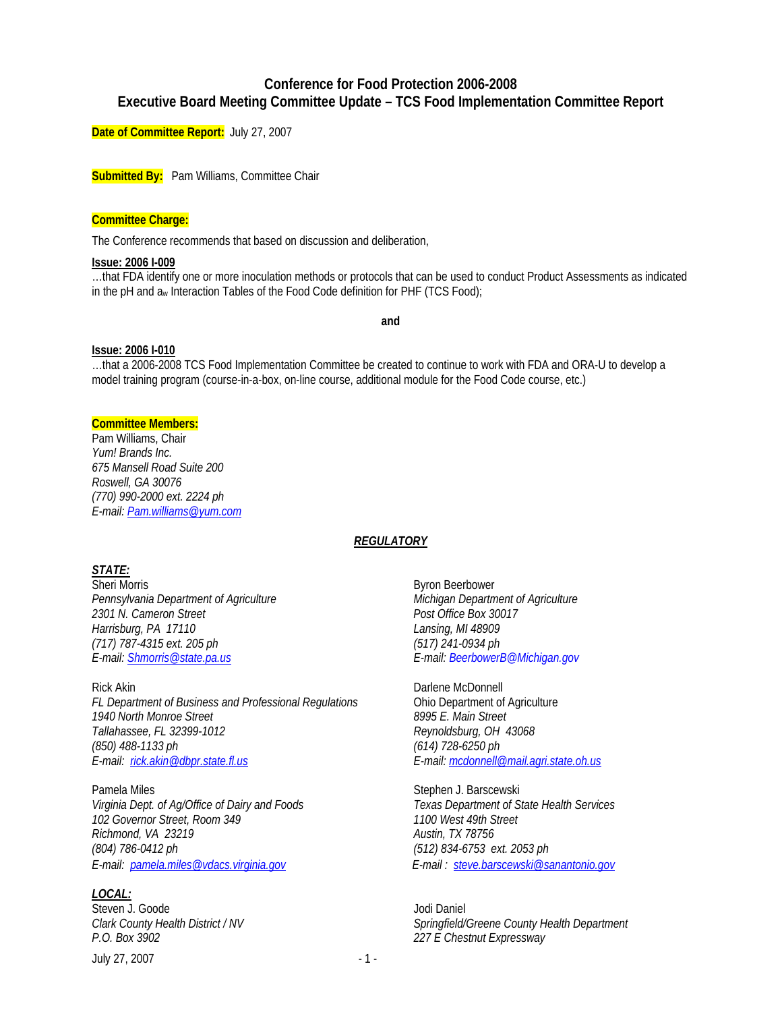# **Conference for Food Protection 2006-2008 Executive Board Meeting Committee Update – TCS Food Implementation Committee Report**

**Date of Committee Report:** July 27, 2007

**Submitted By:** Pam Williams, Committee Chair

#### **Committee Charge:**

The Conference recommends that based on discussion and deliberation,

#### **Issue: 2006 I-009**

…that FDA identify one or more inoculation methods or protocols that can be used to conduct Product Assessments as indicated in the pH and aw Interaction Tables of the Food Code definition for PHF (TCS Food);

**and** 

#### **Issue: 2006 I-010**

…that a 2006-2008 TCS Food Implementation Committee be created to continue to work with FDA and ORA-U to develop a model training program (course-in-a-box, on-line course, additional module for the Food Code course, etc.)

# **Committee Members:**

Pam Williams, Chair *Yum! Brands Inc. 675 Mansell Road Suite 200 Roswell, GA 30076 (770) 990-2000 ext. 2224 ph E-mail: [Pam.williams@yum.com](mailto:Pahogan@tacoBell.com)* 

### *REGULATORY*

# *STATE:*

Sheri Morris **Byron Beerbower** *Pennsylvania Department of Agriculture Michigan Department of Agriculture 2301 N. Cameron Street Post Office Box 30017 Harrisburg, PA 17110 Lansing, MI 48909 (717) 787-4315 ext. 205 ph (517) 241-0934 ph E-mail: [Shmorris@state.pa.us](mailto:Shmorris@state.pa.us) E-mail: BeerbowerB@Michigan.gov* 

Rick Akin **Darlene McDonnell** *FL Department of Business and Professional Regulations* **Chio Department of Agriculture**<br>1940 North Monroe Street **Chinage Construent Band Agriculture** 1940 North Monroe Street *Tallahassee, FL 32399-1012 Reynoldsburg, OH 43068 (850) 488-1133 ph (614) 728-6250 ph* 

Pamela Miles **Stephen J. Barscewski** *Virginia Dept. of Ag/Office of Dairy and Foods Texas Department of State Health Services 102 Governor Street, Room 349 1100 West 49th Street Richmond, VA 23219 Austin, TX 78756 (804) 786-0412 ph (512) 834-6753 ext. 2053 ph E-mail: [pamela.miles@vdacs.virginia.gov](mailto:pamela.miles@vdacs.virginia.gov) E-mail : steve.barscewski@sanantonio.gov*

### *LOCAL:*

Steven J. Goode Jodi Daniel *P.O. Box 3902 227 E Chestnut Expressway* 

July 27, 2007 - 1 - 2007

*E-mail: [rick.akin@dbpr.state.fl.us](mailto:rick.akin@dbpr.state.fl.us) E-mail: mcdonnell@mail.agri.state.oh.us*

*Clark County Health District / NV Springfield/Greene County Health Department*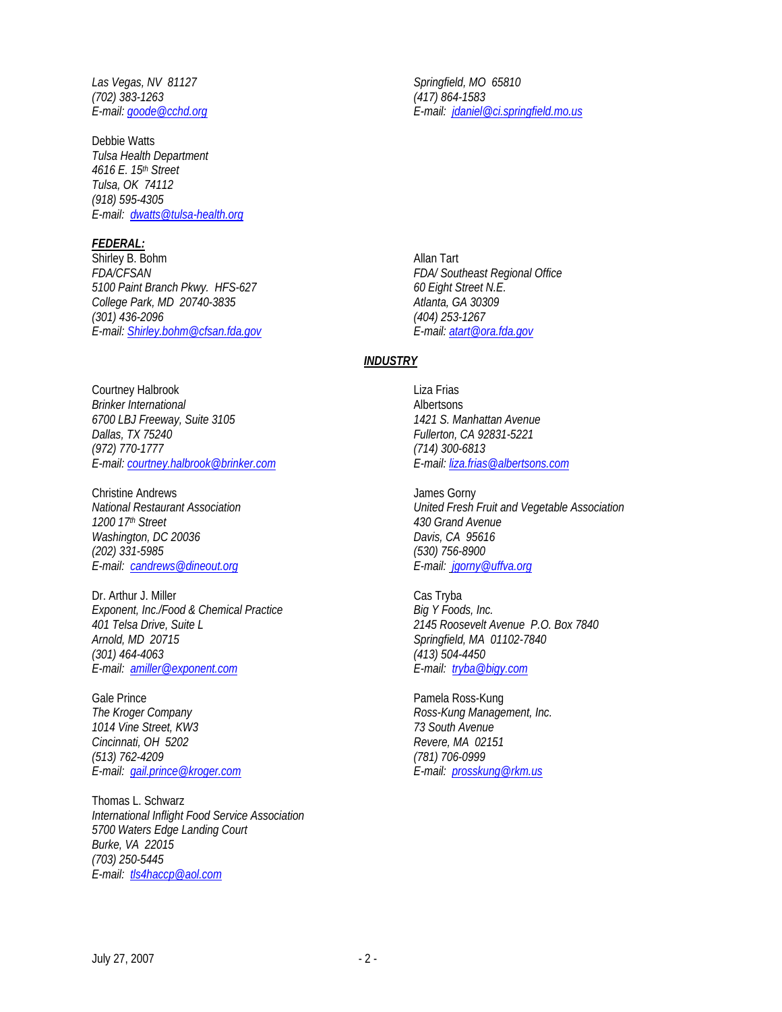Las Vegas, NV 81127 and Springfield, MO 65810 *(702) 383-1263 (417) 864-1583* 

Debbie Watts *Tulsa Health Department 4616 E. 15th Street Tulsa, OK 74112 (918) 595-4305 E-mail: dwatts@tulsa-health.org*

### *FEDERAL:*

Shirley B. Bohm Allan Tart *FDA/CFSAN FDA/ Southeast Regional Office 5100 Paint Branch Pkwy. HFS-627 60 Eight Street N.E. College Park, MD 20740-3835 (301) 436-2096 (404) 253-1267 E-mail: [Shirley.bohm@cfsan.fda.gov](mailto:Shirley.bohm@cfsan.fda.gov) E-mail: [atart@ora.fda.gov](mailto:atart@ora.fda.gov)*

Courtney Halbrook **Liza Frias** *Brinker International* **Albertsons** *6700 LBJ Freeway, Suite 3105 1421 S. Manhattan Avenue Dallas, TX 75240 Fullerton, CA 92831-5221 (972) 770-1777 (714) 300-6813 E-mail: [courtney.halbrook@brinker.com](mailto:courtney.halbrook@brinker.com) E-mail: [liza.frias@albertsons.com](mailto:liza.frias@albertsons.com)* 

Christine Andrews<br>
National Restaurant Association<br>
Vnited Fresh *Washington, DC 20036 Davis, CA 95616 (202) 331-5985 (530) 756-8900 E-mail: [candrews@dineout.org](mailto:candrews@dineout.org) E-mail: jgorny@uffva.org*

Dr. Arthur J. Miller Cas Tryba Exponent, Inc./Food & Chemical Practice Big Y Foods, Inc. *401 Telsa Drive, Suite L 2145 Roosevelt Avenue P.O. Box 7840 (301) 464-4063 (413) 504-4450 E-mail: [amiller@exponent.com](mailto:amiller@exponent.com) E-mail: tryba@bigy.com* 

Gale Prince **Pamela Ross-Kung** *The Kroger Company <b>Ross-Kung Management, Inc. Ross-Kung Management, Inc. 1014 Vine Street, KW3 73 South Avenue Cincinnati, OH 5202 Revere, MA 02151 (513) 762-4209 (781) 706-0999 E-mail: gail.prince@kroger.com E-mail: [prosskung@rkm.us](mailto:prosskung@rkm.us)*

Thomas L. Schwarz *International Inflight Food Service Association 5700 Waters Edge Landing Court Burke, VA 22015 (703) 250-5445 E-mail: tls4haccp@aol.com* 

*E-mail: [goode@cchd.org](mailto:goode@cchd.org) E-mail: [jdaniel@ci.springfield.mo.us](mailto:jdaniel@ci.springfield.mo.us)*

### *INDUSTRY*

*National Restaurant Association United Fresh Fruit and Vegetable Association 1200 17th Street 430 Grand Avenue* 

*Arnold, MD 20715 Springfield, MA 01102-7840*